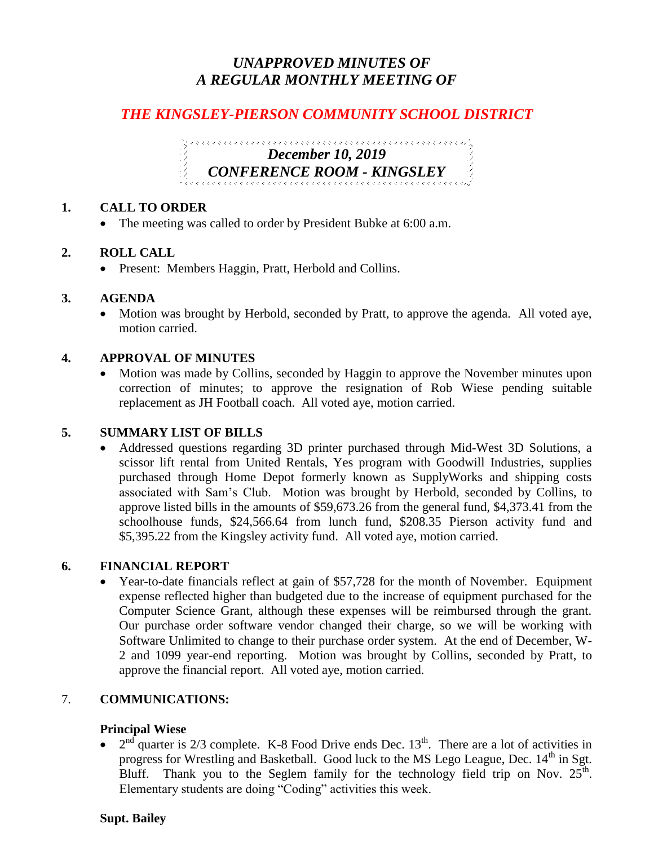# *UNAPPROVED MINUTES OF A REGULAR MONTHLY MEETING OF*

# *THE KINGSLEY-PIERSON COMMUNITY SCHOOL DISTRICT*

# *December 10, 2019 CONFERENCE ROOM - KINGSLEY*

#### **1. CALL TO ORDER**

• The meeting was called to order by President Bubke at 6:00 a.m.

#### **2. ROLL CALL**

• Present: Members Haggin, Pratt, Herbold and Collins.

#### **3. AGENDA**

• Motion was brought by Herbold, seconded by Pratt, to approve the agenda. All voted aye, motion carried.

#### **4. APPROVAL OF MINUTES**

 Motion was made by Collins, seconded by Haggin to approve the November minutes upon correction of minutes; to approve the resignation of Rob Wiese pending suitable replacement as JH Football coach. All voted aye, motion carried.

## **5. SUMMARY LIST OF BILLS**

 Addressed questions regarding 3D printer purchased through Mid-West 3D Solutions, a scissor lift rental from United Rentals, Yes program with Goodwill Industries, supplies purchased through Home Depot formerly known as SupplyWorks and shipping costs associated with Sam's Club. Motion was brought by Herbold, seconded by Collins, to approve listed bills in the amounts of \$59,673.26 from the general fund, \$4,373.41 from the schoolhouse funds, \$24,566.64 from lunch fund, \$208.35 Pierson activity fund and \$5,395.22 from the Kingsley activity fund. All voted aye, motion carried.

#### **6. FINANCIAL REPORT**

• Year-to-date financials reflect at gain of \$57,728 for the month of November. Equipment expense reflected higher than budgeted due to the increase of equipment purchased for the Computer Science Grant, although these expenses will be reimbursed through the grant. Our purchase order software vendor changed their charge, so we will be working with Software Unlimited to change to their purchase order system. At the end of December, W-2 and 1099 year-end reporting. Motion was brought by Collins, seconded by Pratt, to approve the financial report. All voted aye, motion carried.

## 7. **COMMUNICATIONS:**

#### **Principal Wiese**

 $\bullet$  $2<sup>nd</sup>$  quarter is 2/3 complete. K-8 Food Drive ends Dec. 13<sup>th</sup>. There are a lot of activities in progress for Wrestling and Basketball. Good luck to the MS Lego League, Dec. 14<sup>th</sup> in Sgt. Bluff. Thank you to the Seglem family for the technology field trip on Nov.  $25<sup>th</sup>$ . Elementary students are doing "Coding" activities this week.

#### **Supt. Bailey**